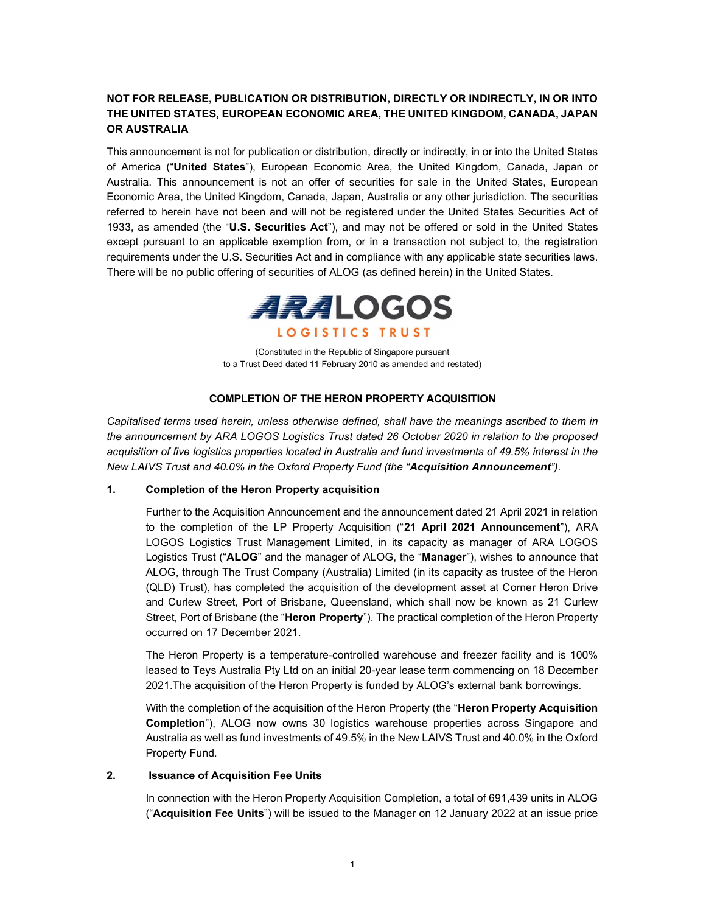# NOT FOR RELEASE, PUBLICATION OR DISTRIBUTION, DIRECTLY OR INDIRECTLY, IN OR INTO THE UNITED STATES, EUROPEAN ECONOMIC AREA, THE UNITED KINGDOM, CANADA, JAPAN OR AUSTRALIA

This announcement is not for publication or distribution, directly or indirectly, in or into the United States of America ("United States"), European Economic Area, the United Kingdom, Canada, Japan or Australia. This announcement is not an offer of securities for sale in the United States, European Economic Area, the United Kingdom, Canada, Japan, Australia or any other jurisdiction. The securities referred to herein have not been and will not be registered under the United States Securities Act of 1933, as amended (the "U.S. Securities Act"), and may not be offered or sold in the United States except pursuant to an applicable exemption from, or in a transaction not subject to, the registration requirements under the U.S. Securities Act and in compliance with any applicable state securities laws. There will be no public offering of securities of ALOG (as defined herein) in the United States.



(Constituted in the Republic of Singapore pursuant to a Trust Deed dated 11 February 2010 as amended and restated)

# COMPLETION OF THE HERON PROPERTY ACQUISITION

Capitalised terms used herein, unless otherwise defined, shall have the meanings ascribed to them in the announcement by ARA LOGOS Logistics Trust dated 26 October 2020 in relation to the proposed acquisition of five logistics properties located in Australia and fund investments of 49.5% interest in the New LAIVS Trust and 40.0% in the Oxford Property Fund (the "Acquisition Announcement").

# 1. Completion of the Heron Property acquisition

Further to the Acquisition Announcement and the announcement dated 21 April 2021 in relation to the completion of the LP Property Acquisition ("21 April 2021 Announcement"), ARA LOGOS Logistics Trust Management Limited, in its capacity as manager of ARA LOGOS Logistics Trust ("ALOG" and the manager of ALOG, the "Manager"), wishes to announce that ALOG, through The Trust Company (Australia) Limited (in its capacity as trustee of the Heron (QLD) Trust), has completed the acquisition of the development asset at Corner Heron Drive and Curlew Street, Port of Brisbane, Queensland, which shall now be known as 21 Curlew Street, Port of Brisbane (the "Heron Property"). The practical completion of the Heron Property occurred on 17 December 2021.

The Heron Property is a temperature-controlled warehouse and freezer facility and is 100% leased to Teys Australia Pty Ltd on an initial 20-year lease term commencing on 18 December 2021.The acquisition of the Heron Property is funded by ALOG's external bank borrowings.

With the completion of the acquisition of the Heron Property (the "Heron Property Acquisition Completion"), ALOG now owns 30 logistics warehouse properties across Singapore and Australia as well as fund investments of 49.5% in the New LAIVS Trust and 40.0% in the Oxford Property Fund.

### 2. Issuance of Acquisition Fee Units

In connection with the Heron Property Acquisition Completion, a total of 691,439 units in ALOG ("Acquisition Fee Units") will be issued to the Manager on 12 January 2022 at an issue price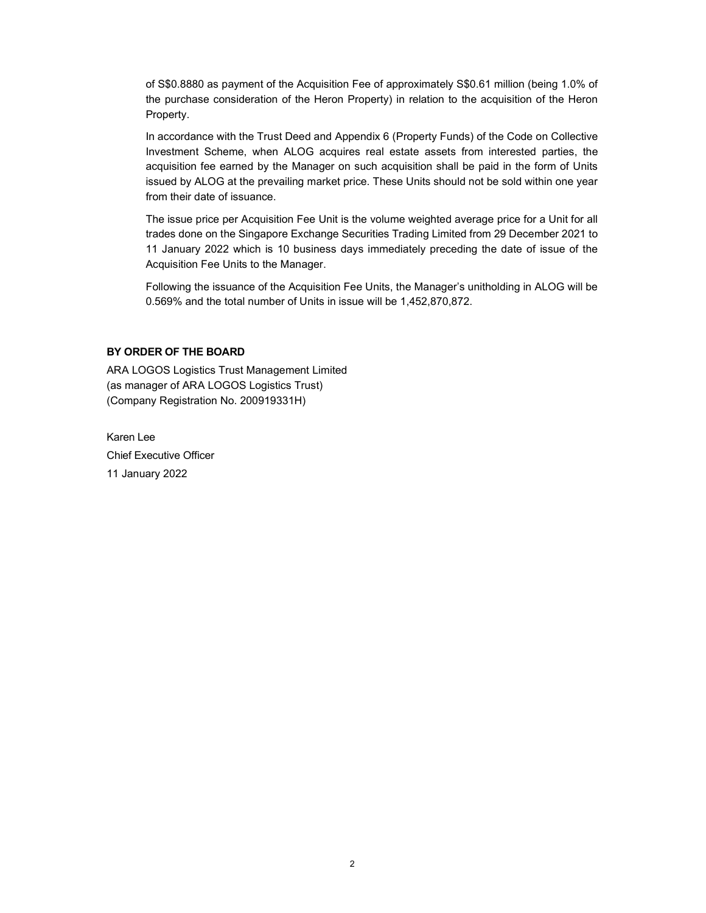of S\$0.8880 as payment of the Acquisition Fee of approximately S\$0.61 million (being 1.0% of the purchase consideration of the Heron Property) in relation to the acquisition of the Heron Property.

In accordance with the Trust Deed and Appendix 6 (Property Funds) of the Code on Collective Investment Scheme, when ALOG acquires real estate assets from interested parties, the acquisition fee earned by the Manager on such acquisition shall be paid in the form of Units issued by ALOG at the prevailing market price. These Units should not be sold within one year from their date of issuance.

The issue price per Acquisition Fee Unit is the volume weighted average price for a Unit for all trades done on the Singapore Exchange Securities Trading Limited from 29 December 2021 to 11 January 2022 which is 10 business days immediately preceding the date of issue of the Acquisition Fee Units to the Manager.

Following the issuance of the Acquisition Fee Units, the Manager's unitholding in ALOG will be 0.569% and the total number of Units in issue will be 1,452,870,872.

### BY ORDER OF THE BOARD

ARA LOGOS Logistics Trust Management Limited (as manager of ARA LOGOS Logistics Trust) (Company Registration No. 200919331H)

Karen Lee Chief Executive Officer 11 January 2022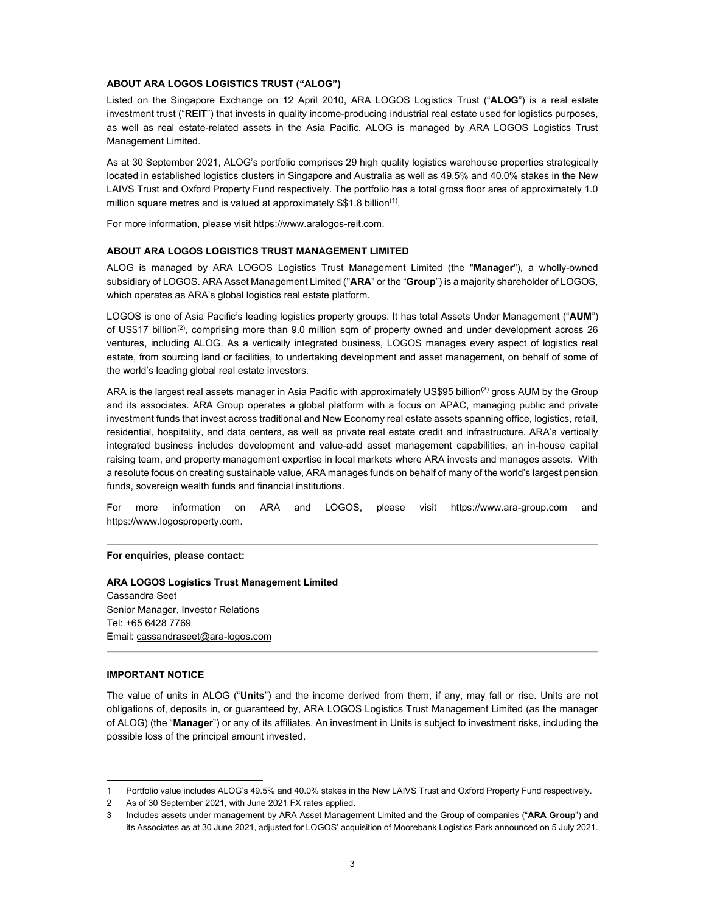### ABOUT ARA LOGOS LOGISTICS TRUST ("ALOG")

Listed on the Singapore Exchange on 12 April 2010, ARA LOGOS Logistics Trust ("ALOG") is a real estate investment trust ("REIT") that invests in quality income-producing industrial real estate used for logistics purposes, as well as real estate-related assets in the Asia Pacific. ALOG is managed by ARA LOGOS Logistics Trust Management Limited.

As at 30 September 2021, ALOG's portfolio comprises 29 high quality logistics warehouse properties strategically located in established logistics clusters in Singapore and Australia as well as 49.5% and 40.0% stakes in the New LAIVS Trust and Oxford Property Fund respectively. The portfolio has a total gross floor area of approximately 1.0 million square metres and is valued at approximately S\$1.8 billion<sup>(1)</sup>.

For more information, please visit https://www.aralogos-reit.com.

### ABOUT ARA LOGOS LOGISTICS TRUST MANAGEMENT LIMITED

ALOG is managed by ARA LOGOS Logistics Trust Management Limited (the "Manager"), a wholly-owned subsidiary of LOGOS. ARA Asset Management Limited ("ARA" or the "Group") is a majority shareholder of LOGOS, which operates as ARA's global logistics real estate platform.

LOGOS is one of Asia Pacific's leading logistics property groups. It has total Assets Under Management ("AUM") of US\$17 billion<sup>(2)</sup>, comprising more than 9.0 million sqm of property owned and under development across 26 ventures, including ALOG. As a vertically integrated business, LOGOS manages every aspect of logistics real estate, from sourcing land or facilities, to undertaking development and asset management, on behalf of some of the world's leading global real estate investors.

ARA is the largest real assets manager in Asia Pacific with approximately US\$95 billion<sup>(3)</sup> gross AUM by the Group and its associates. ARA Group operates a global platform with a focus on APAC, managing public and private investment funds that invest across traditional and New Economy real estate assets spanning office, logistics, retail, residential, hospitality, and data centers, as well as private real estate credit and infrastructure. ARA's vertically integrated business includes development and value-add asset management capabilities, an in-house capital raising team, and property management expertise in local markets where ARA invests and manages assets. With a resolute focus on creating sustainable value, ARA manages funds on behalf of many of the world's largest pension funds, sovereign wealth funds and financial institutions.

For more information on ARA and LOGOS, please visit https://www.ara-group.com and https://www.logosproperty.com.

#### For enquiries, please contact:

ARA LOGOS Logistics Trust Management Limited Cassandra Seet Senior Manager, Investor Relations Tel: +65 6428 7769 Email: cassandraseet@ara-logos.com

#### IMPORTANT NOTICE

The value of units in ALOG ("Units") and the income derived from them, if any, may fall or rise. Units are not obligations of, deposits in, or guaranteed by, ARA LOGOS Logistics Trust Management Limited (as the manager of ALOG) (the "Manager") or any of its affiliates. An investment in Units is subject to investment risks, including the possible loss of the principal amount invested.

<sup>1</sup> Portfolio value includes ALOG's 49.5% and 40.0% stakes in the New LAIVS Trust and Oxford Property Fund respectively.

<sup>2</sup> As of 30 September 2021, with June 2021 FX rates applied.

Includes assets under management by ARA Asset Management Limited and the Group of companies ("ARA Group") and its Associates as at 30 June 2021, adjusted for LOGOS' acquisition of Moorebank Logistics Park announced on 5 July 2021.